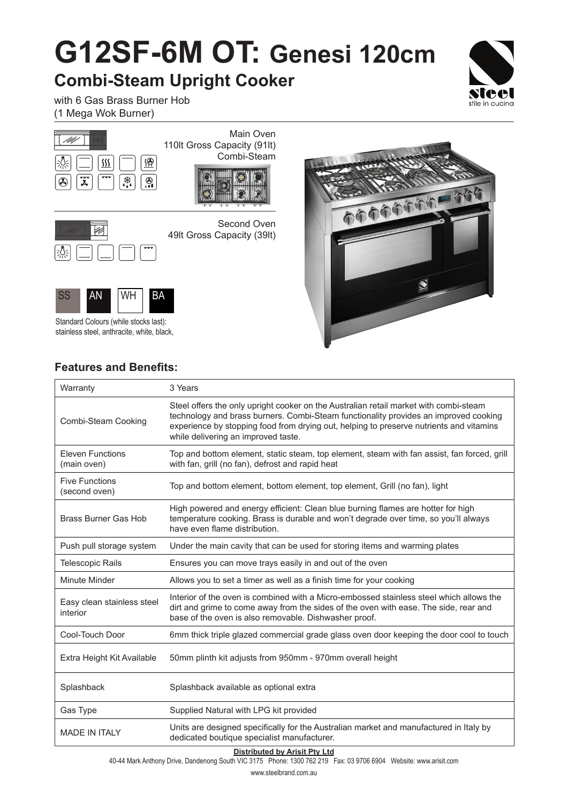# **G12SF-6M OT: Genesi 120cm**

### **Combi-Steam Upright Cooker**



with 6 Gas Brass Burner Hob (1 Mega Wok Burner)





Second Oven 49lt Gross Capacity (39lt)



Standard Colours (while stocks last): stainless steel, anthracite, white, black,



### **Features and Benefits:**

| Warranty                               | 3 Years                                                                                                                                                                                                                                                                                                         |
|----------------------------------------|-----------------------------------------------------------------------------------------------------------------------------------------------------------------------------------------------------------------------------------------------------------------------------------------------------------------|
| Combi-Steam Cooking                    | Steel offers the only upright cooker on the Australian retail market with combi-steam<br>technology and brass burners. Combi-Steam functionality provides an improved cooking<br>experience by stopping food from drying out, helping to preserve nutrients and vitamins<br>while delivering an improved taste. |
| <b>Eleven Functions</b><br>(main oven) | Top and bottom element, static steam, top element, steam with fan assist, fan forced, grill<br>with fan, grill (no fan), defrost and rapid heat                                                                                                                                                                 |
| <b>Five Functions</b><br>(second oven) | Top and bottom element, bottom element, top element, Grill (no fan), light                                                                                                                                                                                                                                      |
| <b>Brass Burner Gas Hob</b>            | High powered and energy efficient: Clean blue burning flames are hotter for high<br>temperature cooking. Brass is durable and won't degrade over time, so you'll always<br>have even flame distribution.                                                                                                        |
| Push pull storage system               | Under the main cavity that can be used for storing items and warming plates                                                                                                                                                                                                                                     |
| <b>Telescopic Rails</b>                | Ensures you can move trays easily in and out of the oven                                                                                                                                                                                                                                                        |
| Minute Minder                          | Allows you to set a timer as well as a finish time for your cooking                                                                                                                                                                                                                                             |
| Easy clean stainless steel<br>interior | Interior of the oven is combined with a Micro-embossed stainless steel which allows the<br>dirt and grime to come away from the sides of the oven with ease. The side, rear and<br>base of the oven is also removable. Dishwasher proof.                                                                        |
| Cool-Touch Door                        | 6mm thick triple glazed commercial grade glass oven door keeping the door cool to touch                                                                                                                                                                                                                         |
| Extra Height Kit Available             | 50mm plinth kit adjusts from 950mm - 970mm overall height                                                                                                                                                                                                                                                       |
| Splashback                             | Splashback available as optional extra                                                                                                                                                                                                                                                                          |
| Gas Type                               | Supplied Natural with LPG kit provided                                                                                                                                                                                                                                                                          |
| <b>MADE IN ITALY</b>                   | Units are designed specifically for the Australian market and manufactured in Italy by<br>dedicated boutique specialist manufacturer.                                                                                                                                                                           |

#### **Distributed by Arisit Pty Ltd**

40-44 Mark Anthony Drive, Dandenong South VIC 3175 Phone: 1300 762 219 Fax: 03 9706 6904 Website: www.arisit.com